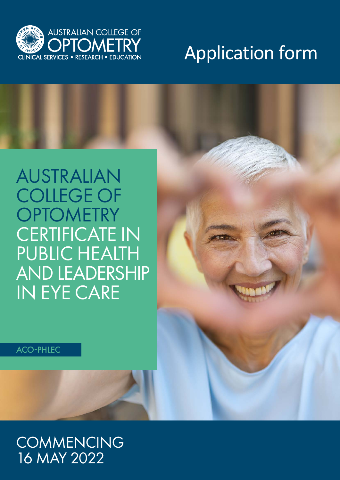

# Application form

## AUSTRALIAN COLLEGE OF **OPTOMETRY** CERTIFICATE IN PUBLIC HEALTH AND LEADERSHIP IN EYE CARE

ACO-PHLEC

### **COMMENCING** 16 MAY 2022